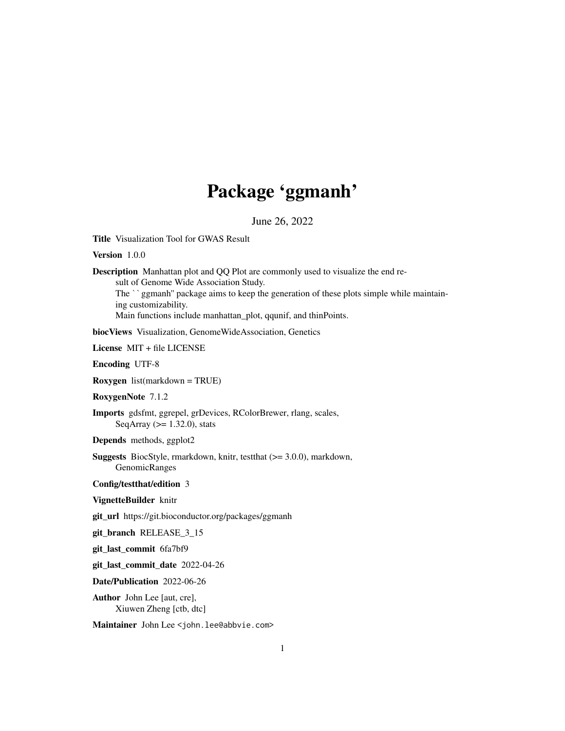## Package 'ggmanh'

June 26, 2022

<span id="page-0-0"></span>Title Visualization Tool for GWAS Result

Version 1.0.0

Description Manhattan plot and QQ Plot are commonly used to visualize the end result of Genome Wide Association Study.

The ``ggmanh'' package aims to keep the generation of these plots simple while maintaining customizability.

Main functions include manhattan\_plot, qqunif, and thinPoints.

biocViews Visualization, GenomeWideAssociation, Genetics

License MIT + file LICENSE

Encoding UTF-8

Roxygen list(markdown = TRUE)

RoxygenNote 7.1.2

Imports gdsfmt, ggrepel, grDevices, RColorBrewer, rlang, scales, SeqArray  $(>= 1.32.0)$ , stats

Depends methods, ggplot2

Suggests BiocStyle, rmarkdown, knitr, testthat (>= 3.0.0), markdown, GenomicRanges

Config/testthat/edition 3

VignetteBuilder knitr

git\_url https://git.bioconductor.org/packages/ggmanh

git\_branch RELEASE\_3\_15

git\_last\_commit 6fa7bf9

git\_last\_commit\_date 2022-04-26

Date/Publication 2022-06-26

Author John Lee [aut, cre], Xiuwen Zheng [ctb, dtc]

Maintainer John Lee <john.lee@abbvie.com>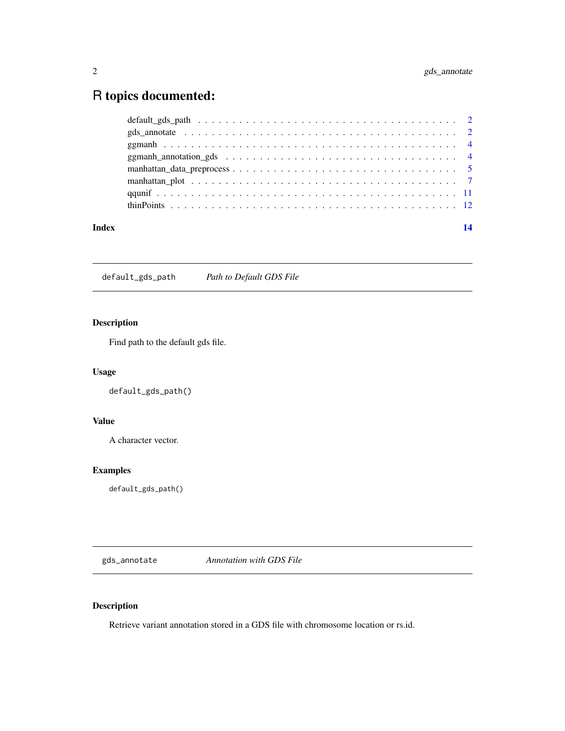### <span id="page-1-0"></span>R topics documented:

| Index | 14 |
|-------|----|
|       |    |
|       |    |
|       |    |
|       |    |
|       |    |
|       |    |
|       |    |
|       |    |

default\_gds\_path *Path to Default GDS File*

### Description

Find path to the default gds file.

#### Usage

default\_gds\_path()

#### Value

A character vector.

#### Examples

default\_gds\_path()

gds\_annotate *Annotation with GDS File*

### Description

Retrieve variant annotation stored in a GDS file with chromosome location or rs.id.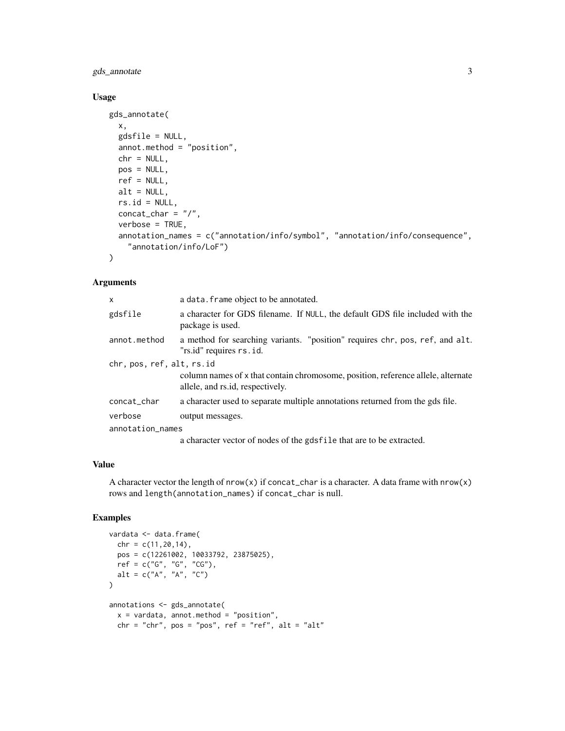gds\_annotate 3

#### Usage

```
gds_annotate(
 x,
 gdsfile = NULL,
 annot.method = "position",
 chr = NULL,
 pos = NULL,
 ref = NULL,alt = NULL,rs.id = NULL,concat_char = ''/,
 verbose = TRUE,
 annotation_names = c("annotation/info/symbol", "annotation/info/consequence",
    "annotation/info/LoF")
)
```
#### Arguments

| X                         | a data. frame object to be annotated.                                                                                |  |  |
|---------------------------|----------------------------------------------------------------------------------------------------------------------|--|--|
| gdsfile                   | a character for GDS filename. If NULL, the default GDS file included with the<br>package is used.                    |  |  |
| annot.method              | a method for searching variants. "position" requires chr, pos, ref, and alt.<br>"rs.id" requires rs.id.              |  |  |
| chr, pos, ref, alt, rs.id |                                                                                                                      |  |  |
|                           | column names of x that contain chromosome, position, reference allele, alternate<br>allele, and rs.id, respectively. |  |  |
| concat_char               | a character used to separate multiple annotations returned from the gds file.                                        |  |  |
| verbose                   | output messages.                                                                                                     |  |  |
| annotation_names          |                                                                                                                      |  |  |
|                           | a character vector of nodes of the gds file that are to be extracted.                                                |  |  |

#### Value

A character vector the length of  $nrow(x)$  if concat\_char is a character. A data frame with  $nrow(x)$ rows and length(annotation\_names) if concat\_char is null.

#### Examples

```
vardata <- data.frame(
 chr = c(11, 20, 14),pos = c(12261002, 10033792, 23875025),
  ref = c("G", "G", "CG"),
 alt = c("A", "A", "C"))
annotations <- gds_annotate(
 x = vardata, annot.method = "position",
 chr = "chr", pos = "pos", ref = "ref", alt = "alt"
```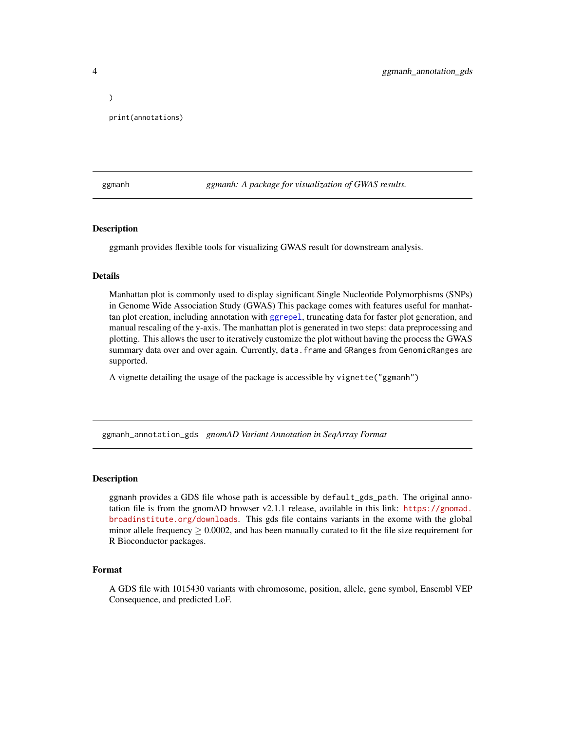print(annotations)

ggmanh *ggmanh: A package for visualization of GWAS results.*

#### Description

ggmanh provides flexible tools for visualizing GWAS result for downstream analysis.

#### Details

Manhattan plot is commonly used to display significant Single Nucleotide Polymorphisms (SNPs) in Genome Wide Association Study (GWAS) This package comes with features useful for manhattan plot creation, including annotation with [ggrepel](#page-0-0), truncating data for faster plot generation, and manual rescaling of the y-axis. The manhattan plot is generated in two steps: data preprocessing and plotting. This allows the user to iteratively customize the plot without having the process the GWAS summary data over and over again. Currently, data.frame and GRanges from GenomicRanges are supported.

A vignette detailing the usage of the package is accessible by vignette("ggmanh")

ggmanh\_annotation\_gds *gnomAD Variant Annotation in SeqArray Format*

#### Description

ggmanh provides a GDS file whose path is accessible by default\_gds\_path. The original annotation file is from the gnomAD browser v2.1.1 release, available in this link: [https://gnomad.](https://gnomad.broadinstitute.org/downloads) [broadinstitute.org/downloads](https://gnomad.broadinstitute.org/downloads). This gds file contains variants in the exome with the global minor allele frequency  $\geq 0.0002$ , and has been manually curated to fit the file size requirement for R Bioconductor packages.

#### Format

A GDS file with 1015430 variants with chromosome, position, allele, gene symbol, Ensembl VEP Consequence, and predicted LoF.

<span id="page-3-0"></span>

)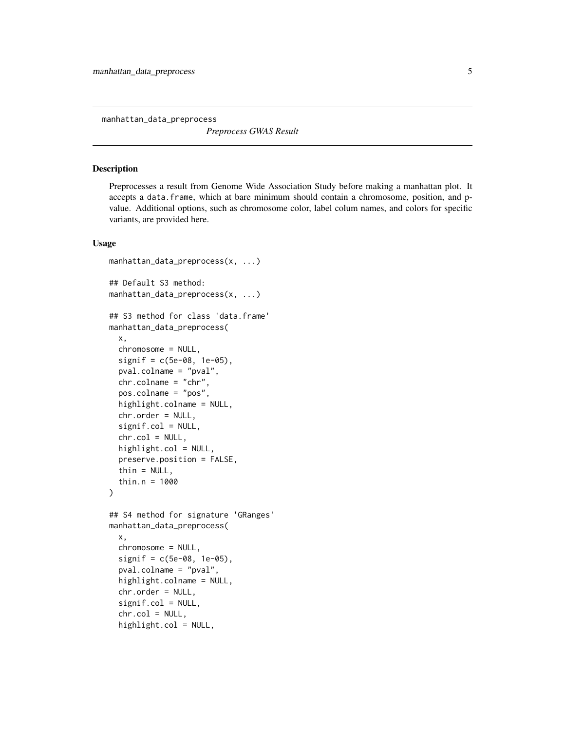<span id="page-4-0"></span>manhattan\_data\_preprocess

*Preprocess GWAS Result*

#### Description

Preprocesses a result from Genome Wide Association Study before making a manhattan plot. It accepts a data.frame, which at bare minimum should contain a chromosome, position, and pvalue. Additional options, such as chromosome color, label colum names, and colors for specific variants, are provided here.

#### Usage

```
manhattan_data_preprocess(x, ...)
## Default S3 method:
manhattan_data_preprocess(x, ...)
## S3 method for class 'data.frame'
manhattan_data_preprocess(
  x,
  chromosome = NULL,
  signif = c(5e-08, 1e-05),
  pval.colname = "pval",
  chr.colname = "chr",
  pos.colname = "pos",
  highlight.colname = NULL,
  chr.order = NULL,
  signif.col = NULL,
  chr.col = NULL,
  highlight.col = NULL,
  preserve.position = FALSE,
  thin = NULL,
  thin.n = 1000
)
## S4 method for signature 'GRanges'
manhattan_data_preprocess(
  x,
  chromosome = NULL,
  signif = c(5e-08, 1e-05),
  pval.colname = "pval",
  highlight.colname = NULL,
  chr.order = NULL,
  signif.col = NULL,
  chr.col = NULL,highlight.col = NULL,
```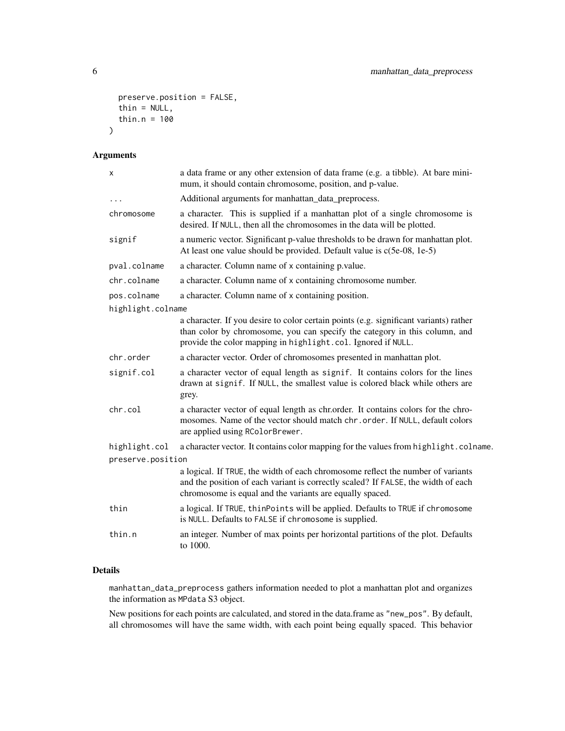```
preserve.position = FALSE,
  thin = NULL,
  thin.n = 100\mathcal{L}
```
#### Arguments

| $\pmb{\times}$    | a data frame or any other extension of data frame (e.g. a tibble). At bare mini-<br>mum, it should contain chromosome, position, and p-value.                                                                                       |
|-------------------|-------------------------------------------------------------------------------------------------------------------------------------------------------------------------------------------------------------------------------------|
| .                 | Additional arguments for manhattan_data_preprocess.                                                                                                                                                                                 |
| chromosome        | a character. This is supplied if a manhattan plot of a single chromosome is<br>desired. If NULL, then all the chromosomes in the data will be plotted.                                                                              |
| signif            | a numeric vector. Significant p-value thresholds to be drawn for manhattan plot.<br>At least one value should be provided. Default value is c(5e-08, 1e-5)                                                                          |
| pval.colname      | a character. Column name of x containing p.value.                                                                                                                                                                                   |
| chr.colname       | a character. Column name of x containing chromosome number.                                                                                                                                                                         |
| pos.colname       | a character. Column name of x containing position.                                                                                                                                                                                  |
| highlight.colname |                                                                                                                                                                                                                                     |
|                   | a character. If you desire to color certain points (e.g. significant variants) rather<br>than color by chromosome, you can specify the category in this column, and<br>provide the color mapping in highlight.col. Ignored if NULL. |
| chr.order         | a character vector. Order of chromosomes presented in manhattan plot.                                                                                                                                                               |
| signif.col        | a character vector of equal length as signif. It contains colors for the lines<br>drawn at signif. If NULL, the smallest value is colored black while others are<br>grey.                                                           |
| chr.col           | a character vector of equal length as chr.order. It contains colors for the chro-<br>mosomes. Name of the vector should match chr. order. If NULL, default colors<br>are applied using RColorBrewer.                                |
| highlight.col     | a character vector. It contains color mapping for the values from highlight.colname.                                                                                                                                                |
| preserve.position |                                                                                                                                                                                                                                     |
|                   | a logical. If TRUE, the width of each chromosome reflect the number of variants<br>and the position of each variant is correctly scaled? If FALSE, the width of each<br>chromosome is equal and the variants are equally spaced.    |
| thin              | a logical. If TRUE, thinPoints will be applied. Defaults to TRUE if chromosome<br>is NULL. Defaults to FALSE if chromosome is supplied.                                                                                             |
| thin.n            | an integer. Number of max points per horizontal partitions of the plot. Defaults<br>to 1000.                                                                                                                                        |
|                   |                                                                                                                                                                                                                                     |

#### Details

manhattan\_data\_preprocess gathers information needed to plot a manhattan plot and organizes the information as MPdata S3 object.

New positions for each points are calculated, and stored in the data.frame as "new\_pos". By default, all chromosomes will have the same width, with each point being equally spaced. This behavior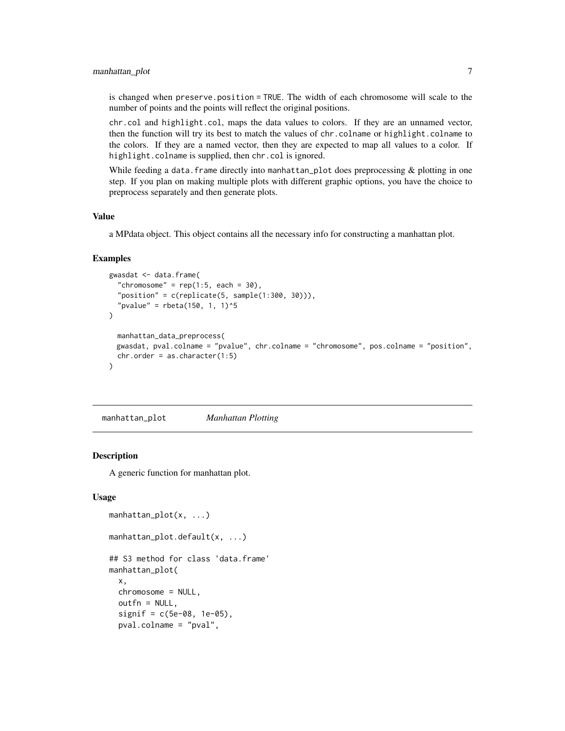#### <span id="page-6-0"></span>manhattan\_plot 7

is changed when preserve.position = TRUE. The width of each chromosome will scale to the number of points and the points will reflect the original positions.

chr.col and highlight.col, maps the data values to colors. If they are an unnamed vector, then the function will try its best to match the values of chr.colname or highlight.colname to the colors. If they are a named vector, then they are expected to map all values to a color. If highlight.colname is supplied, then chr.col is ignored.

While feeding a data. frame directly into manhattan\_plot does preprocessing  $\&$  plotting in one step. If you plan on making multiple plots with different graphic options, you have the choice to preprocess separately and then generate plots.

#### Value

a MPdata object. This object contains all the necessary info for constructing a manhattan plot.

#### Examples

```
gwasdat <- data.frame(
  "chromosome" = rep(1:5, each = 30),
  "position" = c(replicate(5, sample(1:300, 30))),
  "pvalue" = \text{rbeta}(150, 1, 1)^5)
 manhattan_data_preprocess(
 gwasdat, pval.colname = "pvalue", chr.colname = "chromosome", pos.colname = "position",
 chr.order = as. character(1:5))
```
manhattan\_plot *Manhattan Plotting*

#### Description

A generic function for manhattan plot.

#### Usage

```
manhattan_plot(x, ...)
manhattan_plot.default(x, ...)
## S3 method for class 'data.frame'
manhattan_plot(
  x,
  chromosome = NULL,
  outfn = NULL,
  signif = c(5e-08, 1e-05),
  pval.colname = "pval",
```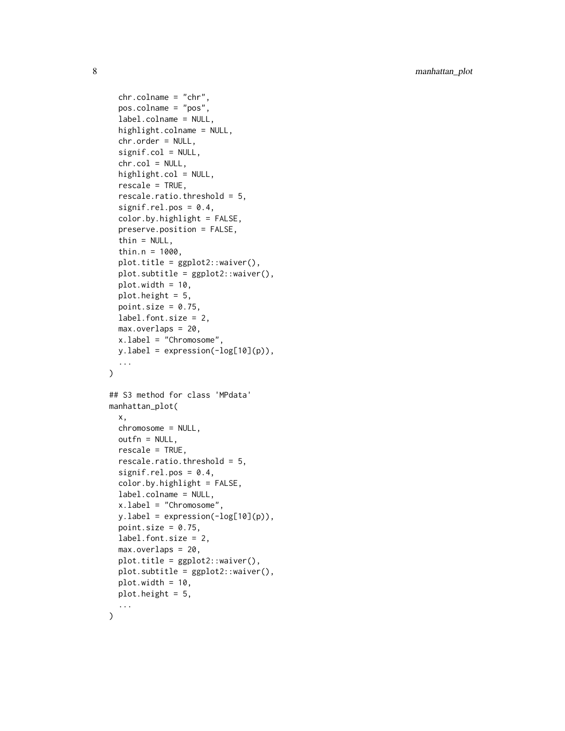```
chr.colname = "chr",
  pos.colname = "pos",
  label.colname = NULL,
  highlight.colname = NULL,
  chr.order = NULL,
  signif.col = NULL,
  chr.col = NULL,highlight.col = NULL,
  rescale = TRUE,
  rescale.ratio.threshold = 5,
  signif.rel.pos = 0.4,
  color.by.highlight = FALSE,
  preserve.position = FALSE,
  thin = NULL,
  thin.n = 1000,
  plot.title = ggplot2::waiver(),plot.subtitle = ggplot2::waiver(),
  plot.width = 10,plot.height = 5,
  point.size = 0.75,
  label.font.size = 2,
  max.overlaps = 20,
  x.label = "Chromosome",
  yu.label = expression(-\log[10](p)),
  ...
\lambda## S3 method for class 'MPdata'
manhattan_plot(
 x,
  chromosome = NULL,
  outfn = NULL,
  rescale = TRUE,
  rescale.ratio.threshold = 5,
  signif.rel.pos = 0.4,
  color.by.highlight = FALSE,
  label.colname = NULL,
  x.label = "Chromosome",
  yulabel = expression(-\log[10](p)),
  point.size = 0.75,
  label.font.size = 2,
  max.overlaps = 20,
  plot.title = ggplot2::waiver(),plot.subtitle = ggplot2::waiver(),
  plot.width = 10,
 plot.height = 5,
  ...
```
 $\mathcal{L}$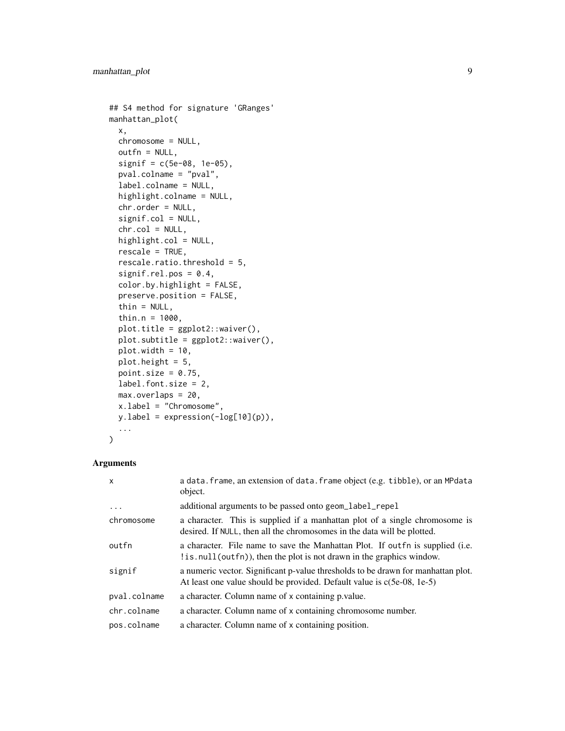```
## S4 method for signature 'GRanges'
manhattan_plot(
  x,
  chromosome = NULL,
  outfn = NULL,
  signif = c(5e-08, 1e-05),
  pval.colname = "pval",
  label.colname = NULL,
  highlight.colname = NULL,
  chr.order = NULL,
  signif.col = NULL,
  chr.col = NULL,highlight.col = NULL,
  rescale = TRUE,
  rescale.ratio.threshold = 5,
  signif.rel.pos = 0.4,
  color.by.highlight = FALSE,
 preserve.position = FALSE,
  thin = NULL,
  thin.n = 1000,
  plot.title = ggplot2::waiver(),plot.subtitle = ggplot2::waiver(),
  plot.width = 10,plot.height = 5,
 point.size = 0.75,
  label.font.size = 2,
 max.overlaps = 20,
  x.label = "Chromosome",
 y.label = expression(-log[10](p)),
  ...
\mathcal{L}
```
#### Arguments

| $\mathsf{x}$ | a data. frame, an extension of data. frame object (e.g. tibble), or an MPdata<br>object.                                                                   |
|--------------|------------------------------------------------------------------------------------------------------------------------------------------------------------|
| .            | additional arguments to be passed onto geom_label_repel                                                                                                    |
| chromosome   | a character. This is supplied if a manhattan plot of a single chromosome is<br>desired. If NULL, then all the chromosomes in the data will be plotted.     |
| outfn        | a character. File name to save the Manhattan Plot. If out fn is supplied (i.e.<br>! is . null (out fn), then the plot is not drawn in the graphics window. |
| signif       | a numeric vector. Significant p-value thresholds to be drawn for manhattan plot.<br>At least one value should be provided. Default value is c(5e-08, 1e-5) |
| pval.colname | a character. Column name of x containing p.value.                                                                                                          |
| chr.colname  | a character. Column name of x containing chromosome number.                                                                                                |
| pos.colname  | a character. Column name of x containing position.                                                                                                         |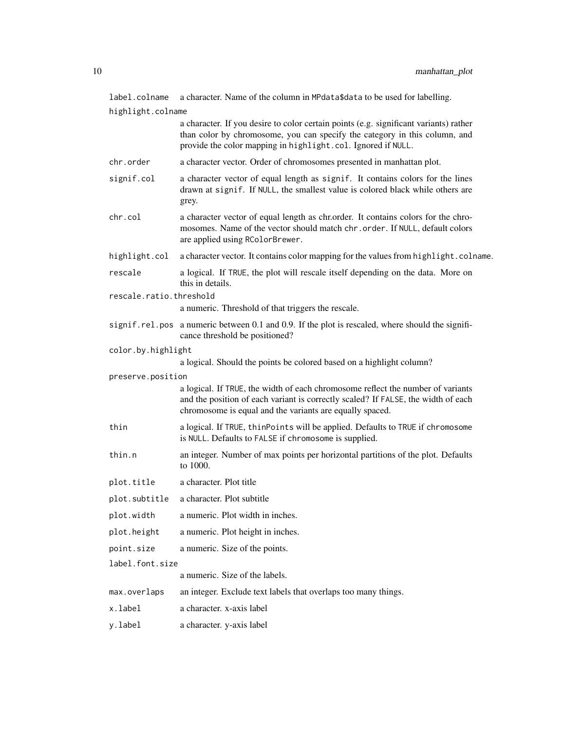label.colname a character. Name of the column in MPdata\$data to be used for labelling.

highlight.colname a character. If you desire to color certain points (e.g. significant variants) rather than color by chromosome, you can specify the category in this column, and provide the color mapping in highlight.col. Ignored if NULL. chr.order a character vector. Order of chromosomes presented in manhattan plot. signif.col a character vector of equal length as signif. It contains colors for the lines drawn at signif. If NULL, the smallest value is colored black while others are grey. chr.col a character vector of equal length as chr.order. It contains colors for the chromosomes. Name of the vector should match chr.order. If NULL, default colors are applied using RColorBrewer. highlight.col a character vector. It contains color mapping for the values from highlight.colname. rescale a logical. If TRUE, the plot will rescale itself depending on the data. More on this in details. rescale.ratio.threshold a numeric. Threshold of that triggers the rescale. signif.rel.pos a numeric between 0.1 and 0.9. If the plot is rescaled, where should the significance threshold be positioned? color.by.highlight a logical. Should the points be colored based on a highlight column? preserve.position a logical. If TRUE, the width of each chromosome reflect the number of variants and the position of each variant is correctly scaled? If FALSE, the width of each chromosome is equal and the variants are equally spaced. thin a logical. If TRUE, thinPoints will be applied. Defaults to TRUE if chromosome is NULL. Defaults to FALSE if chromosome is supplied. thin.n an integer. Number of max points per horizontal partitions of the plot. Defaults to 1000. plot.title a character. Plot title plot.subtitle a character. Plot subtitle plot.width a numeric. Plot width in inches. plot.height a numeric. Plot height in inches. point.size a numeric. Size of the points. label.font.size a numeric. Size of the labels. max.overlaps an integer. Exclude text labels that overlaps too many things. x.label a character. x-axis label y.label a character. y-axis label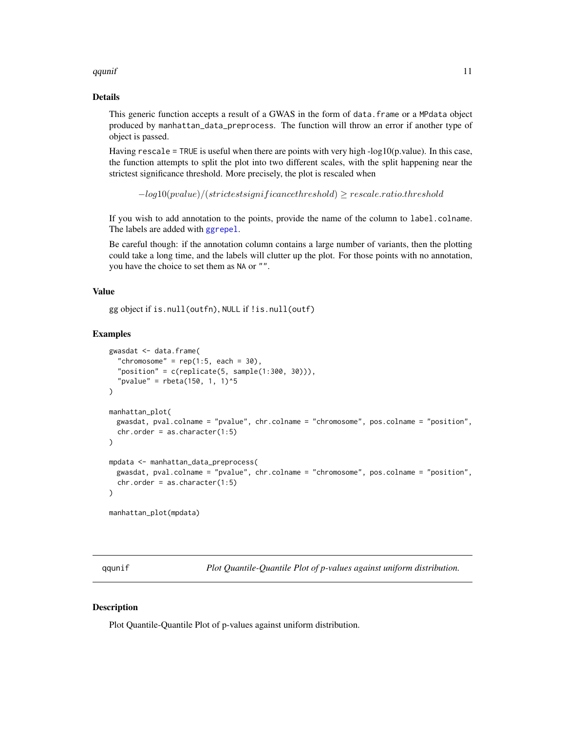#### <span id="page-10-0"></span>qqunif the contract of the contract of the contract of the contract of the contract of the contract of the contract of the contract of the contract of the contract of the contract of the contract of the contract of the con

#### Details

This generic function accepts a result of a GWAS in the form of data.frame or a MPdata object produced by manhattan\_data\_preprocess. The function will throw an error if another type of object is passed.

Having rescale = TRUE is useful when there are points with very high - $log10(p.value)$ . In this case, the function attempts to split the plot into two different scales, with the split happening near the strictest significance threshold. More precisely, the plot is rescaled when

 $-log10(pvalue)/(strictest significance threshold) \geq rescale.ratio.threshold$ 

If you wish to add annotation to the points, provide the name of the column to label.colname. The labels are added with [ggrepel](#page-0-0).

Be careful though: if the annotation column contains a large number of variants, then the plotting could take a long time, and the labels will clutter up the plot. For those points with no annotation, you have the choice to set them as NA or "".

#### Value

```
gg object if is.null(outfn), NULL if !is.null(outf)
```
#### Examples

```
gwasdat <- data.frame(
  "chromosome" = rep(1:5, each = 30),
  "position" = c(replicate(5, sample(1:300, 30))),"pvalue" = rbeta(150, 1, 1)^5\mathcal{L}manhattan_plot(
 gwasdat, pval.colname = "pvalue", chr.colname = "chromosome", pos.colname = "position",
 chr.order = as.character(1:5)
\lambdampdata <- manhattan_data_preprocess(
 gwasdat, pval.colname = "pvalue", chr.colname = "chromosome", pos.colname = "position",
 chr.order = as. character(1:5)\lambdamanhattan_plot(mpdata)
```
qqunif *Plot Quantile-Quantile Plot of p-values against uniform distribution.*

#### **Description**

Plot Quantile-Quantile Plot of p-values against uniform distribution.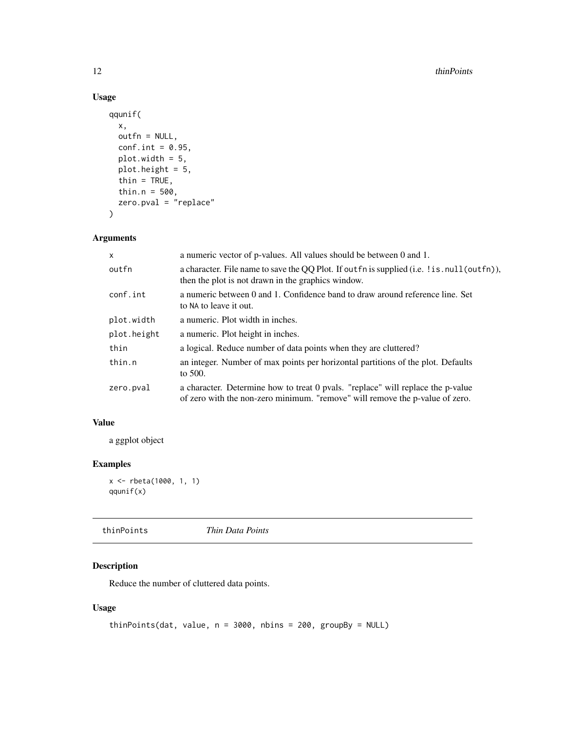#### Usage

```
qqunif(
 x,
 outfn = NULL,
 conf.int = 0.95,
 plot.width = 5,
 plot.height = 5,
  thin = TRUE,
  thin.n = 500,
 zero.pval = "replace"
\mathcal{L}
```
#### Arguments

| $\mathsf{x}$ | a numeric vector of p-values. All values should be between 0 and 1.                                                                                             |
|--------------|-----------------------------------------------------------------------------------------------------------------------------------------------------------------|
| outfn        | a character. File name to save the QQ Plot. If out fn is supplied (i.e. ! is . null (out fn)),<br>then the plot is not drawn in the graphics window.            |
| conf.int     | a numeric between 0 and 1. Confidence band to draw around reference line. Set<br>to NA to leave it out.                                                         |
| plot.width   | a numeric. Plot width in inches.                                                                                                                                |
| plot.height  | a numeric. Plot height in inches.                                                                                                                               |
| thin         | a logical. Reduce number of data points when they are cluttered?                                                                                                |
| thin.n       | an integer. Number of max points per horizontal partitions of the plot. Defaults<br>to $500$ .                                                                  |
| zero.pval    | a character. Determine how to treat 0 pvals. "replace" will replace the p-value<br>of zero with the non-zero minimum. "remove" will remove the p-value of zero. |

#### Value

a ggplot object

#### Examples

```
x <- rbeta(1000, 1, 1)
qqunif(x)
```
thinPoints *Thin Data Points*

#### Description

Reduce the number of cluttered data points.

#### Usage

```
thinPoints(dat, value, n = 3000, nbins = 200, groupBy = NULL)
```
<span id="page-11-0"></span>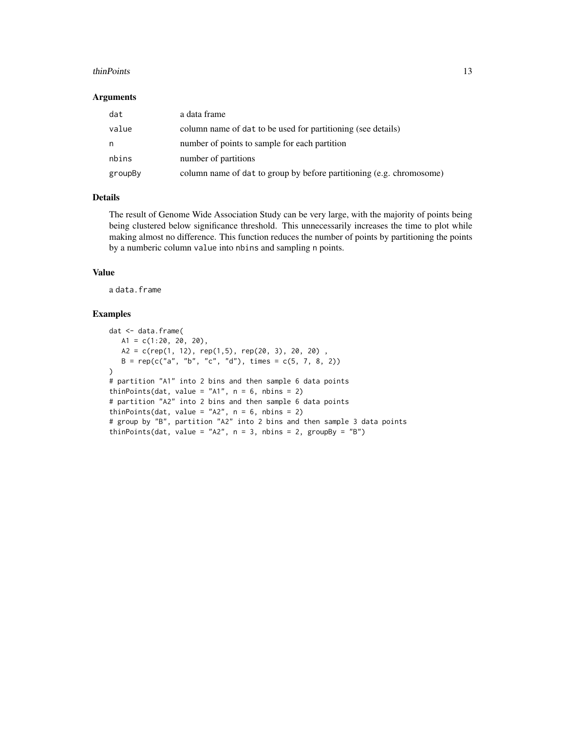#### thinPoints 13

#### Arguments

| dat     | a data frame                                                         |
|---------|----------------------------------------------------------------------|
| value   | column name of dat to be used for partitioning (see details)         |
| n.      | number of points to sample for each partition                        |
| nbins   | number of partitions                                                 |
| groupBy | column name of dat to group by before partitioning (e.g. chromosome) |

#### Details

The result of Genome Wide Association Study can be very large, with the majority of points being being clustered below significance threshold. This unnecessarily increases the time to plot while making almost no difference. This function reduces the number of points by partitioning the points by a numberic column value into nbins and sampling n points.

#### Value

a data.frame

#### Examples

```
dat <- data.frame(
  A1 = c(1:20, 20, 20),
  A2 = c(rep(1, 12), rep(1,5), rep(20, 3), 20, 20)B = rep(c("a", "b", "c", "d"), times = c(5, 7, 8, 2))\mathcal{L}# partition "A1" into 2 bins and then sample 6 data points
thinPoints(dat, value = ^nA1", n = 6, nbins = 2)
# partition "A2" into 2 bins and then sample 6 data points
thinPoints(dat, value = "A2", n = 6, nbins = 2)
# group by "B", partition "A2" into 2 bins and then sample 3 data points
thinPoints(dat, value = "A2", n = 3, nbins = 2, groupBy = "B")
```